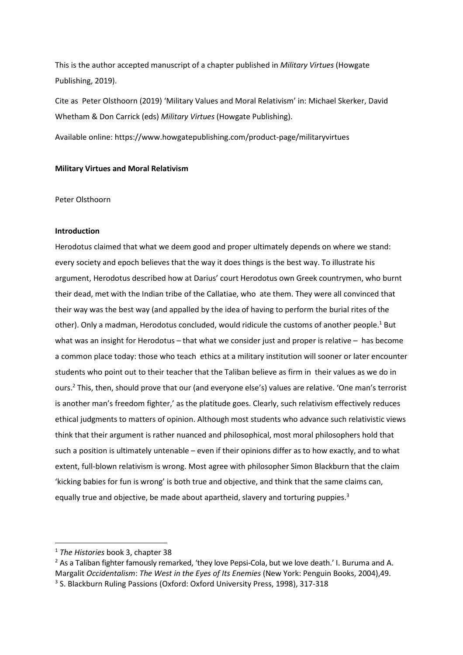This is the author accepted manuscript of a chapter published in *Military Virtues* (Howgate Publishing, 2019).

Cite as Peter Olsthoorn (2019) 'Military Values and Moral Relativism' in: Michael Skerker, David Whetham & Don Carrick (eds) *Military Virtues* (Howgate Publishing).

Available online: https://www.howgatepublishing.com/product-page/militaryvirtues

# **Military Virtues and Moral Relativism**

## Peter Olsthoorn

#### **Introduction**

Herodotus claimed that what we deem good and proper ultimately depends on where we stand: every society and epoch believes that the way it does things is the best way. To illustrate his argument, Herodotus described how at Darius' court Herodotus own Greek countrymen, who burnt their dead, met with the Indian tribe of the Callatiae, who ate them. They were all convinced that their way was the best way (and appalled by the idea of having to perform the burial rites of the other). Only a madman, Herodotus concluded, would ridicule the customs of another people.<sup>1</sup> But what was an insight for Herodotus – that what we consider just and proper is relative – has become a common place today: those who teach ethics at a military institution will sooner or later encounter students who point out to their teacher that the Taliban believe as firm in their values as we do in ours.<sup>2</sup> This, then, should prove that our (and everyone else's) values are relative. 'One man's terrorist is another man's freedom fighter,' as the platitude goes. Clearly, such relativism effectively reduces ethical judgments to matters of opinion. Although most students who advance such relativistic views think that their argument is rather nuanced and philosophical, most moral philosophers hold that such a position is ultimately untenable – even if their opinions differ as to how exactly, and to what extent, full-blown relativism is wrong. Most agree with philosopher Simon Blackburn that the claim 'kicking babies for fun is wrong' is both true and objective, and think that the same claims can, equally true and objective, be made about apartheid, slavery and torturing puppies.<sup>3</sup>

<sup>1</sup> *The Histories* book 3, chapter 38

<sup>&</sup>lt;sup>2</sup> As a Taliban fighter famously remarked, 'they love Pepsi-Cola, but we love death.' I. Buruma and A. Margalit *Occidentalism*: *The West in the Eyes of Its Enemies* (New York: Penguin Books, 2004),49. <sup>3</sup> S. Blackburn Ruling Passions (Oxford: Oxford University Press, 1998), 317-318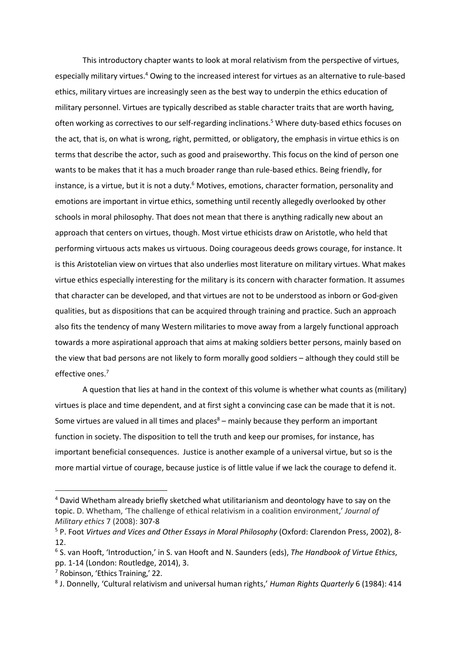This introductory chapter wants to look at moral relativism from the perspective of virtues, especially military virtues.<sup>4</sup> Owing to the increased interest for virtues as an alternative to rule-based ethics, military virtues are increasingly seen as the best way to underpin the ethics education of military personnel. Virtues are typically described as stable character traits that are worth having, often working as correctives to our self-regarding inclinations.<sup>5</sup> Where duty-based ethics focuses on the act, that is, on what is wrong, right, permitted, or obligatory, the emphasis in virtue ethics is on terms that describe the actor, such as good and praiseworthy. This focus on the kind of person one wants to be makes that it has a much broader range than rule-based ethics. Being friendly, for instance, is a virtue, but it is not a duty.<sup>6</sup> Motives, emotions, character formation, personality and emotions are important in virtue ethics, something until recently allegedly overlooked by other schools in moral philosophy. That does not mean that there is anything radically new about an approach that centers on virtues, though. Most virtue ethicists draw on Aristotle, who held that performing virtuous acts makes us virtuous. Doing courageous deeds grows courage, for instance. It is this Aristotelian view on virtues that also underlies most literature on military virtues. What makes virtue ethics especially interesting for the military is its concern with character formation. It assumes that character can be developed, and that virtues are not to be understood as inborn or God-given qualities, but as dispositions that can be acquired through training and practice. Such an approach also fits the tendency of many Western militaries to move away from a largely functional approach towards a more aspirational approach that aims at making soldiers better persons, mainly based on the view that bad persons are not likely to form morally good soldiers – although they could still be effective ones.<sup>7</sup>

A question that lies at hand in the context of this volume is whether what counts as (military) virtues is place and time dependent, and at first sight a convincing case can be made that it is not. Some virtues are valued in all times and places $8-$  mainly because they perform an important function in society. The disposition to tell the truth and keep our promises, for instance, has important beneficial consequences. Justice is another example of a universal virtue, but so is the more martial virtue of courage, because justice is of little value if we lack the courage to defend it.

<sup>&</sup>lt;sup>4</sup> David Whetham already briefly sketched what utilitarianism and deontology have to say on the topic. D. Whetham, 'The challenge of ethical relativism in a coalition environment,' *Journal of Military ethics* 7 (2008): 307-8

<sup>5</sup> P. Foot *Virtues and Vices and Other Essays in Moral Philosophy* (Oxford: Clarendon Press, 2002), 8- 12.

<sup>6</sup> S. van Hooft, 'Introduction,' in S. van Hooft and N. Saunders (eds), *The Handbook of Virtue Ethics*, pp. 1-14 (London: Routledge, 2014), 3.

<sup>&</sup>lt;sup>7</sup> Robinson, 'Ethics Training,' 22.

<sup>8</sup> J. Donnelly, 'Cultural relativism and universal human rights,' *Human Rights Quarterly* 6 (1984): 414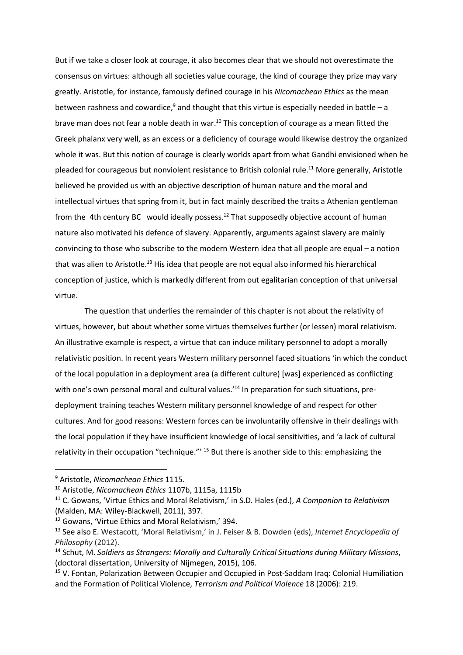But if we take a closer look at courage, it also becomes clear that we should not overestimate the consensus on virtues: although all societies value courage, the kind of courage they prize may vary greatly. Aristotle, for instance, famously defined courage in his *Nicomachean Ethics* as the mean between rashness and cowardice,<sup>9</sup> and thought that this virtue is especially needed in battle - a brave man does not fear a noble death in war.<sup>10</sup> This conception of courage as a mean fitted the Greek phalanx very well, as an excess or a deficiency of courage would likewise destroy the organized whole it was. But this notion of courage is clearly worlds apart from what Gandhi envisioned when he pleaded for courageous but nonviolent resistance to British colonial rule.<sup>11</sup> More generally, Aristotle believed he provided us with an objective description of human nature and the moral and intellectual virtues that spring from it, but in fact mainly described the traits a Athenian gentleman from the 4th century BC would ideally possess.<sup>12</sup> That supposedly objective account of human nature also motivated his defence of slavery. Apparently, arguments against slavery are mainly convincing to those who subscribe to the modern Western idea that all people are equal – a notion that was alien to Aristotle.<sup>13</sup> His idea that people are not equal also informed his hierarchical conception of justice, which is markedly different from out egalitarian conception of that universal virtue.

 The question that underlies the remainder of this chapter is not about the relativity of virtues, however, but about whether some virtues themselves further (or lessen) moral relativism. An illustrative example is respect, a virtue that can induce military personnel to adopt a morally relativistic position. In recent years Western military personnel faced situations 'in which the conduct of the local population in a deployment area (a different culture) [was] experienced as conflicting with one's own personal moral and cultural values.<sup>'14</sup> In preparation for such situations, predeployment training teaches Western military personnel knowledge of and respect for other cultures. And for good reasons: Western forces can be involuntarily offensive in their dealings with the local population if they have insufficient knowledge of local sensitivities, and 'a lack of cultural relativity in their occupation "technique."<sup>15</sup> But there is another side to this: emphasizing the

<sup>9</sup> Aristotle, *Nicomachean Ethics* 1115.

<sup>10</sup> Aristotle, *Nicomachean Ethics* 1107b, 1115a, 1115b

<sup>11</sup> C. Gowans, 'Virtue Ethics and Moral Relativism,' in S.D. Hales (ed.), *A Companion to Relativism* (Malden, MA: Wiley-Blackwell, 2011), 397.

<sup>12</sup> Gowans, 'Virtue Ethics and Moral Relativism,' 394.

<sup>13</sup> See also E. Westacott, 'Moral Relativism,' in J. Feiser & B. Dowden (eds), *Internet Encyclopedia of Philosophy* (2012).

<sup>14</sup> Schut, M. *Soldiers as Strangers: Morally and Culturally Critical Situations during Military Missions*, (doctoral dissertation, University of Nijmegen, 2015), 106.

<sup>&</sup>lt;sup>15</sup> V. Fontan, Polarization Between Occupier and Occupied in Post-Saddam Iraq: Colonial Humiliation and the Formation of Political Violence, *Terrorism and Political Violence* 18 (2006): 219.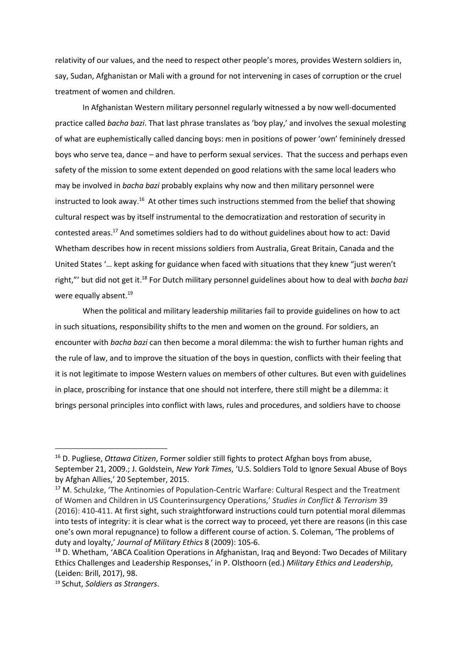relativity of our values, and the need to respect other people's mores, provides Western soldiers in, say, Sudan, Afghanistan or Mali with a ground for not intervening in cases of corruption or the cruel treatment of women and children.

In Afghanistan Western military personnel regularly witnessed a by now well-documented practice called *bacha bazi*. That last phrase translates as 'boy play,' and involves the sexual molesting of what are euphemistically called dancing boys: men in positions of power 'own' femininely dressed boys who serve tea, dance – and have to perform sexual services. That the success and perhaps even safety of the mission to some extent depended on good relations with the same local leaders who may be involved in *bacha bazi* probably explains why now and then military personnel were instructed to look away.<sup>16</sup> At other times such instructions stemmed from the belief that showing cultural respect was by itself instrumental to the democratization and restoration of security in contested areas.<sup>17</sup> And sometimes soldiers had to do without guidelines about how to act: David Whetham describes how in recent missions soldiers from Australia, Great Britain, Canada and the United States '… kept asking for guidance when faced with situations that they knew "just weren't right,"' but did not get it.<sup>18</sup> For Dutch military personnel guidelines about how to deal with *bacha bazi* were equally absent.<sup>19</sup>

When the political and military leadership militaries fail to provide guidelines on how to act in such situations, responsibility shifts to the men and women on the ground. For soldiers, an encounter with *bacha bazi* can then become a moral dilemma: the wish to further human rights and the rule of law, and to improve the situation of the boys in question, conflicts with their feeling that it is not legitimate to impose Western values on members of other cultures. But even with guidelines in place, proscribing for instance that one should not interfere, there still might be a dilemma: it brings personal principles into conflict with laws, rules and procedures, and soldiers have to choose

<sup>16</sup> D. Pugliese, *Ottawa Citizen*, Former soldier still fights to protect Afghan boys from abuse, September 21, 2009.; J. Goldstein, *New York Times*, 'U.S. Soldiers Told to Ignore Sexual Abuse of Boys by Afghan Allies,' 20 September, 2015.

<sup>&</sup>lt;sup>17</sup> M. Schulzke, 'The Antinomies of Population-Centric Warfare: Cultural Respect and the Treatment of Women and Children in US Counterinsurgency Operations,' *Studies in Conflict & Terrorism* 39 (2016): 410-411. At first sight, such straightforward instructions could turn potential moral dilemmas into tests of integrity: it is clear what is the correct way to proceed, yet there are reasons (in this case one's own moral repugnance) to follow a different course of action. S. Coleman, 'The problems of duty and loyalty,' *Journal of Military Ethics* 8 (2009): 105-6.

<sup>&</sup>lt;sup>18</sup> D. Whetham, 'ABCA Coalition Operations in Afghanistan, Iraq and Beyond: Two Decades of Military Ethics Challenges and Leadership Responses,' in P. Olsthoorn (ed.) *Military Ethics and Leadership*, (Leiden: Brill, 2017), 98.

<sup>19</sup> Schut, *Soldiers as Strangers*.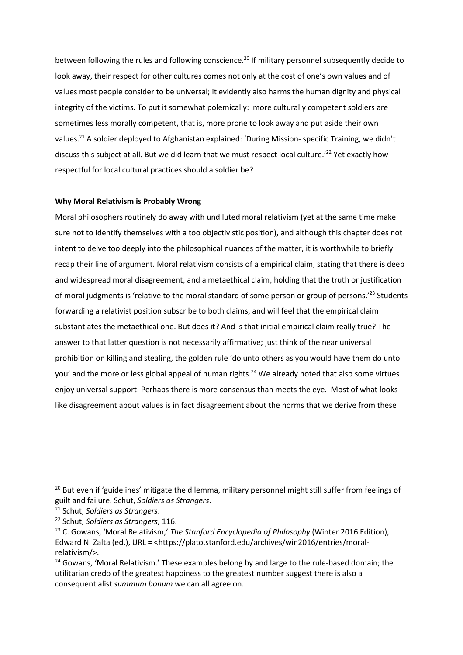between following the rules and following conscience.<sup>20</sup> If military personnel subsequently decide to look away, their respect for other cultures comes not only at the cost of one's own values and of values most people consider to be universal; it evidently also harms the human dignity and physical integrity of the victims. To put it somewhat polemically: more culturally competent soldiers are sometimes less morally competent, that is, more prone to look away and put aside their own values.<sup>21</sup> A soldier deployed to Afghanistan explained: 'During Mission- specific Training, we didn't discuss this subject at all. But we did learn that we must respect local culture.<sup>'22</sup> Yet exactly how respectful for local cultural practices should a soldier be?

## **Why Moral Relativism is Probably Wrong**

Moral philosophers routinely do away with undiluted moral relativism (yet at the same time make sure not to identify themselves with a too objectivistic position), and although this chapter does not intent to delve too deeply into the philosophical nuances of the matter, it is worthwhile to briefly recap their line of argument. Moral relativism consists of a empirical claim, stating that there is deep and widespread moral disagreement, and a metaethical claim, holding that the truth or justification of moral judgments is 'relative to the moral standard of some person or group of persons.'<sup>23</sup> Students forwarding a relativist position subscribe to both claims, and will feel that the empirical claim substantiates the metaethical one. But does it? And is that initial empirical claim really true? The answer to that latter question is not necessarily affirmative; just think of the near universal prohibition on killing and stealing, the golden rule 'do unto others as you would have them do unto you' and the more or less global appeal of human rights.<sup>24</sup> We already noted that also some virtues enjoy universal support. Perhaps there is more consensus than meets the eye. Most of what looks like disagreement about values is in fact disagreement about the norms that we derive from these

<sup>&</sup>lt;sup>20</sup> But even if 'guidelines' mitigate the dilemma, military personnel might still suffer from feelings of guilt and failure. Schut, *Soldiers as Strangers*.

<sup>21</sup> Schut, *Soldiers as Strangers*.

<sup>22</sup> Schut, *Soldiers as Strangers*, 116.

<sup>23</sup> C. Gowans, 'Moral Relativism,' *The Stanford Encyclopedia of Philosophy* (Winter 2016 Edition), Edward N. Zalta (ed.), URL = <https://plato.stanford.edu/archives/win2016/entries/moralrelativism/>.

<sup>&</sup>lt;sup>24</sup> Gowans, 'Moral Relativism.' These examples belong by and large to the rule-based domain; the utilitarian credo of the greatest happiness to the greatest number suggest there is also a consequentialist *summum bonum* we can all agree on.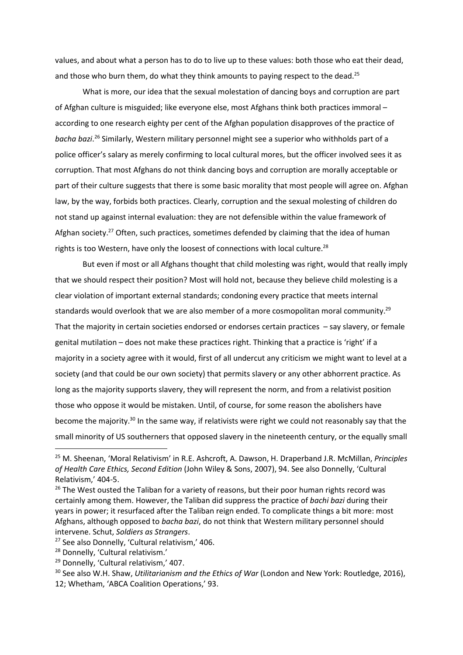values, and about what a person has to do to live up to these values: both those who eat their dead, and those who burn them, do what they think amounts to paying respect to the dead.<sup>25</sup>

What is more, our idea that the sexual molestation of dancing boys and corruption are part of Afghan culture is misguided; like everyone else, most Afghans think both practices immoral – according to one research eighty per cent of the Afghan population disapproves of the practice of *bacha bazi*. <sup>26</sup> Similarly, Western military personnel might see a superior who withholds part of a police officer's salary as merely confirming to local cultural mores, but the officer involved sees it as corruption. That most Afghans do not think dancing boys and corruption are morally acceptable or part of their culture suggests that there is some basic morality that most people will agree on. Afghan law, by the way, forbids both practices. Clearly, corruption and the sexual molesting of children do not stand up against internal evaluation: they are not defensible within the value framework of Afghan society.<sup>27</sup> Often, such practices, sometimes defended by claiming that the idea of human rights is too Western, have only the loosest of connections with local culture.<sup>28</sup>

But even if most or all Afghans thought that child molesting was right, would that really imply that we should respect their position? Most will hold not, because they believe child molesting is a clear violation of important external standards; condoning every practice that meets internal standards would overlook that we are also member of a more cosmopolitan moral community.<sup>29</sup> That the majority in certain societies endorsed or endorses certain practices – say slavery, or female genital mutilation – does not make these practices right. Thinking that a practice is 'right' if a majority in a society agree with it would, first of all undercut any criticism we might want to level at a society (and that could be our own society) that permits slavery or any other abhorrent practice. As long as the majority supports slavery, they will represent the norm, and from a relativist position those who oppose it would be mistaken. Until, of course, for some reason the abolishers have become the majority.<sup>30</sup> In the same way, if relativists were right we could not reasonably say that the small minority of US southerners that opposed slavery in the nineteenth century, or the equally small

<sup>25</sup> M. Sheenan, 'Moral Relativism' in R.E. Ashcroft, A. Dawson, H. Draperband J.R. McMillan, *Principles of Health Care Ethics, Second Edition* (John Wiley & Sons, 2007), 94. See also Donnelly, 'Cultural Relativism,' 404-5.

<sup>&</sup>lt;sup>26</sup> The West ousted the Taliban for a variety of reasons, but their poor human rights record was certainly among them. However, the Taliban did suppress the practice of *bachi bazi* during their years in power; it resurfaced after the Taliban reign ended. To complicate things a bit more: most Afghans, although opposed to *bacha bazi*, do not think that Western military personnel should intervene. Schut, *Soldiers as Strangers*.

<sup>&</sup>lt;sup>27</sup> See also Donnelly, 'Cultural relativism,' 406.

<sup>28</sup> Donnelly, 'Cultural relativism.'

<sup>29</sup> Donnelly, 'Cultural relativism,' 407.

<sup>30</sup> See also W.H. Shaw, *Utilitarianism and the Ethics of War* (London and New York: Routledge, 2016), 12; Whetham, 'ABCA Coalition Operations,' 93.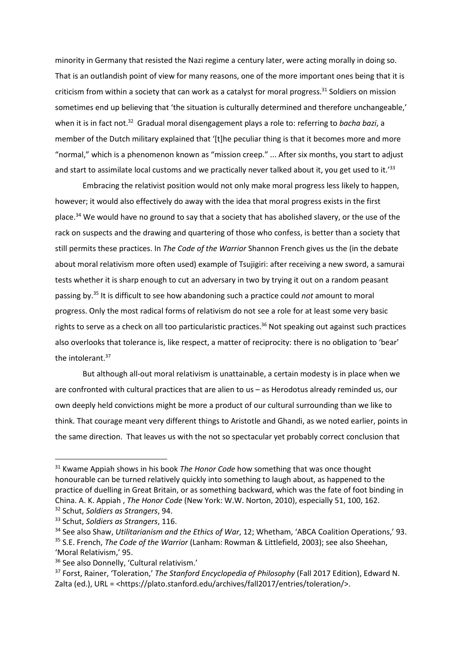minority in Germany that resisted the Nazi regime a century later, were acting morally in doing so. That is an outlandish point of view for many reasons, one of the more important ones being that it is criticism from within a society that can work as a catalyst for moral progress.<sup>31</sup> Soldiers on mission sometimes end up believing that 'the situation is culturally determined and therefore unchangeable,' when it is in fact not.<sup>32</sup> Gradual moral disengagement plays a role to: referring to *bacha bazi*, a member of the Dutch military explained that '[t]he peculiar thing is that it becomes more and more "normal," which is a phenomenon known as "mission creep." ... After six months, you start to adjust and start to assimilate local customs and we practically never talked about it, you get used to it.<sup>133</sup>

Embracing the relativist position would not only make moral progress less likely to happen, however; it would also effectively do away with the idea that moral progress exists in the first place.<sup>34</sup> We would have no ground to say that a society that has abolished slavery, or the use of the rack on suspects and the drawing and quartering of those who confess, is better than a society that still permits these practices. In *The Code of the Warrior* Shannon French gives us the (in the debate about moral relativism more often used) example of Tsujigiri: after receiving a new sword, a samurai tests whether it is sharp enough to cut an adversary in two by trying it out on a random peasant passing by.<sup>35</sup> It is difficult to see how abandoning such a practice could *not* amount to moral progress. Only the most radical forms of relativism do not see a role for at least some very basic rights to serve as a check on all too particularistic practices.<sup>36</sup> Not speaking out against such practices also overlooks that tolerance is, like respect, a matter of reciprocity: there is no obligation to 'bear' the intolerant.<sup>37</sup>

But although all-out moral relativism is unattainable, a certain modesty is in place when we are confronted with cultural practices that are alien to us – as Herodotus already reminded us, our own deeply held convictions might be more a product of our cultural surrounding than we like to think. That courage meant very different things to Aristotle and Ghandi, as we noted earlier, points in the same direction. That leaves us with the not so spectacular yet probably correct conclusion that

<sup>31</sup> Kwame Appiah shows in his book *The Honor Code* how something that was once thought honourable can be turned relatively quickly into something to laugh about, as happened to the practice of duelling in Great Britain, or as something backward, which was the fate of foot binding in China. A. K. Appiah , *The Honor Code* (New York: W.W. Norton, 2010), especially 51, 100, 162. <sup>32</sup> Schut, *Soldiers as Strangers*, 94.

<sup>33</sup> Schut, *Soldiers as Strangers*, 116.

<sup>34</sup> See also Shaw, *Utilitarianism and the Ethics of War*, 12; Whetham, 'ABCA Coalition Operations,' 93. <sup>35</sup> S.E. French, *The Code of the Warrior* (Lanham: Rowman & Littlefield, 2003); see also Sheehan, 'Moral Relativism,' 95.

<sup>36</sup> See also Donnelly, 'Cultural relativism.'

<sup>37</sup> Forst, Rainer, 'Toleration,' *The Stanford Encyclopedia of Philosophy* (Fall 2017 Edition), Edward N. Zalta (ed.), URL = <https://plato.stanford.edu/archives/fall2017/entries/toleration/>.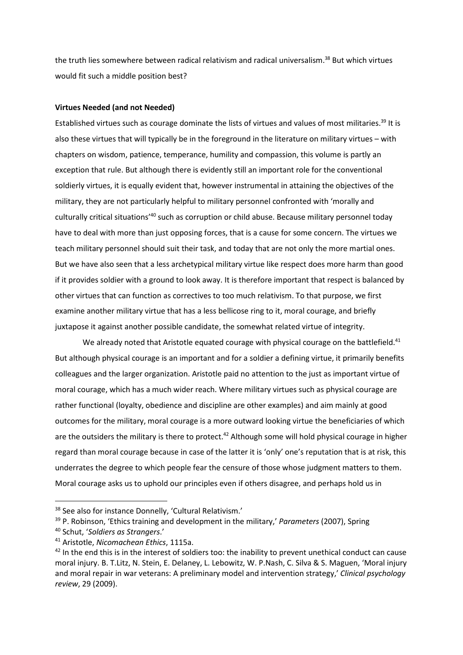the truth lies somewhere between radical relativism and radical universalism.<sup>38</sup> But which virtues would fit such a middle position best?

#### **Virtues Needed (and not Needed)**

Established virtues such as courage dominate the lists of virtues and values of most militaries.<sup>39</sup> It is also these virtues that will typically be in the foreground in the literature on military virtues – with chapters on wisdom, patience, temperance, humility and compassion, this volume is partly an exception that rule. But although there is evidently still an important role for the conventional soldierly virtues, it is equally evident that, however instrumental in attaining the objectives of the military, they are not particularly helpful to military personnel confronted with 'morally and culturally critical situations'<sup>40</sup> such as corruption or child abuse. Because military personnel today have to deal with more than just opposing forces, that is a cause for some concern. The virtues we teach military personnel should suit their task, and today that are not only the more martial ones. But we have also seen that a less archetypical military virtue like respect does more harm than good if it provides soldier with a ground to look away. It is therefore important that respect is balanced by other virtues that can function as correctives to too much relativism. To that purpose, we first examine another military virtue that has a less bellicose ring to it, moral courage, and briefly juxtapose it against another possible candidate, the somewhat related virtue of integrity.

We already noted that Aristotle equated courage with physical courage on the battlefield.<sup>41</sup> But although physical courage is an important and for a soldier a defining virtue, it primarily benefits colleagues and the larger organization. Aristotle paid no attention to the just as important virtue of moral courage, which has a much wider reach. Where military virtues such as physical courage are rather functional (loyalty, obedience and discipline are other examples) and aim mainly at good outcomes for the military, moral courage is a more outward looking virtue the beneficiaries of which are the outsiders the military is there to protect.<sup>42</sup> Although some will hold physical courage in higher regard than moral courage because in case of the latter it is 'only' one's reputation that is at risk, this underrates the degree to which people fear the censure of those whose judgment matters to them. Moral courage asks us to uphold our principles even if others disagree, and perhaps hold us in

<sup>38</sup> See also for instance Donnelly, 'Cultural Relativism.'

<sup>39</sup> P. Robinson, 'Ethics training and development in the military,' *Parameters* (2007), Spring

<sup>40</sup> Schut, '*Soldiers as Strangers*.'

<sup>41</sup> Aristotle, *Nicomachean Ethics*, 1115a.

 $42$  In the end this is in the interest of soldiers too: the inability to prevent unethical conduct can cause moral injury. B. T.Litz, N. Stein, E. Delaney, L. Lebowitz, W. P.Nash, C. Silva & S. Maguen, 'Moral injury and moral repair in war veterans: A preliminary model and intervention strategy,' *Clinical psychology review*, 29 (2009).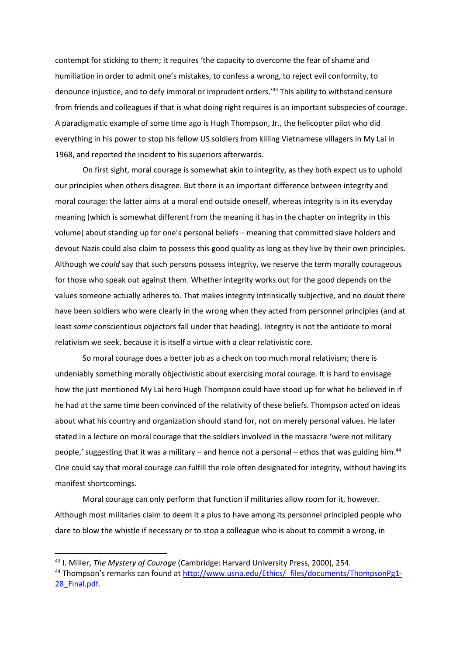contempt for sticking to them; it requires 'the capacity to overcome the fear of shame and humiliation in order to admit one's mistakes, to confess a wrong, to reject evil conformity, to denounce injustice, and to defy immoral or imprudent orders.<sup>'43</sup> This ability to withstand censure from friends and colleagues if that is what doing right requires is an important subspecies of courage. A paradigmatic example of some time ago is Hugh Thompson, Jr., the helicopter pilot who did everything in his power to stop his fellow US soldiers from killing Vietnamese villagers in My Lai in 1968, and reported the incident to his superiors afterwards.

On first sight, moral courage is somewhat akin to integrity, as they both expect us to uphold our principles when others disagree. But there is an important difference between integrity and moral courage: the latter aims at a moral end outside oneself, whereas integrity is in its everyday meaning (which is somewhat different from the meaning it has in the chapter on integrity in this volume) about standing up for one's personal beliefs – meaning that committed slave holders and devout Nazis could also claim to possess this good quality as long as they live by their own principles. Although we *could* say that such persons possess integrity, we reserve the term morally courageous for those who speak out against them. Whether integrity works out for the good depends on the values someone actually adheres to. That makes integrity intrinsically subjective, and no doubt there have been soldiers who were clearly in the wrong when they acted from personnel principles (and at least *some* conscientious objectors fall under that heading). Integrity is not the antidote to moral relativism we seek, because it is itself a virtue with a clear relativistic core.

So moral courage does a better job as a check on too much moral relativism; there is undeniably something morally objectivistic about exercising moral courage. It is hard to envisage how the just mentioned My Lai hero Hugh Thompson could have stood up for what he believed in if he had at the same time been convinced of the relativity of these beliefs. Thompson acted on ideas about what his country and organization should stand for, not on merely personal values. He later stated in a lecture on moral courage that the soldiers involved in the massacre 'were not military people,' suggesting that it was a military – and hence not a personal – ethos that was guiding him.<sup>44</sup> One could say that moral courage can fulfill the role often designated for integrity, without having its manifest shortcomings.

Moral courage can only perform that function if militaries allow room for it, however. Although most militaries claim to deem it a plus to have among its personnel principled people who dare to blow the whistle if necessary or to stop a colleague who is about to commit a wrong, in

<sup>43</sup> I. Miller, *The Mystery of Courage* (Cambridge: Harvard University Press, 2000), 254.

<sup>44</sup> Thompson's remarks can found at http://www.usna.edu/Ethics/\_files/documents/ThompsonPg1- 28 Final.pdf.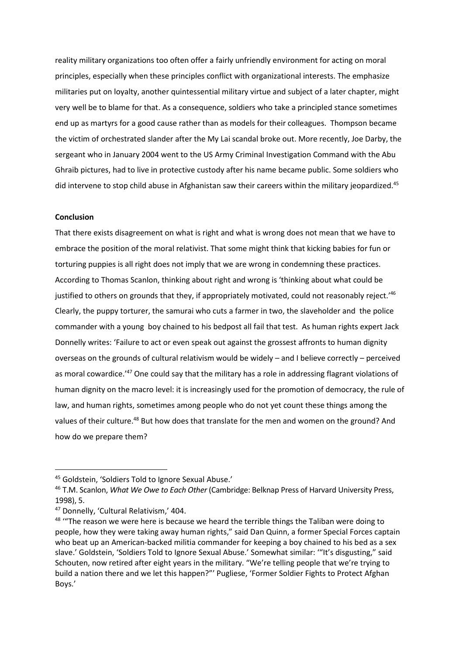reality military organizations too often offer a fairly unfriendly environment for acting on moral principles, especially when these principles conflict with organizational interests. The emphasize militaries put on loyalty, another quintessential military virtue and subject of a later chapter, might very well be to blame for that. As a consequence, soldiers who take a principled stance sometimes end up as martyrs for a good cause rather than as models for their colleagues. Thompson became the victim of orchestrated slander after the My Lai scandal broke out. More recently, Joe Darby, the sergeant who in January 2004 went to the US Army Criminal Investigation Command with the Abu Ghraib pictures, had to live in protective custody after his name became public. Some soldiers who did intervene to stop child abuse in Afghanistan saw their careers within the military jeopardized.<sup>45</sup>

## **Conclusion**

 $\overline{a}$ 

That there exists disagreement on what is right and what is wrong does not mean that we have to embrace the position of the moral relativist. That some might think that kicking babies for fun or torturing puppies is all right does not imply that we are wrong in condemning these practices. According to Thomas Scanlon, thinking about right and wrong is 'thinking about what could be justified to others on grounds that they, if appropriately motivated, could not reasonably reject.<sup>'46</sup> Clearly, the puppy torturer, the samurai who cuts a farmer in two, the slaveholder and the police commander with a young boy chained to his bedpost all fail that test. As human rights expert Jack Donnelly writes: 'Failure to act or even speak out against the grossest affronts to human dignity overseas on the grounds of cultural relativism would be widely – and I believe correctly – perceived as moral cowardice.'<sup>47</sup> One could say that the military has a role in addressing flagrant violations of human dignity on the macro level: it is increasingly used for the promotion of democracy, the rule of law, and human rights, sometimes among people who do not yet count these things among the values of their culture.<sup>48</sup> But how does that translate for the men and women on the ground? And how do we prepare them?

<sup>45</sup> Goldstein, 'Soldiers Told to Ignore Sexual Abuse.'

<sup>46</sup> T.M. Scanlon, *What We Owe to Each Other* (Cambridge: Belknap Press of Harvard University Press, 1998), 5.

<sup>47</sup> Donnelly, 'Cultural Relativism,' 404.

<sup>&</sup>lt;sup>48</sup> "The reason we were here is because we heard the terrible things the Taliban were doing to people, how they were taking away human rights," said Dan Quinn, a former Special Forces captain who beat up an American-backed militia commander for keeping a boy chained to his bed as a sex slave.' Goldstein, 'Soldiers Told to Ignore Sexual Abuse.' Somewhat similar: '"It's disgusting," said Schouten, now retired after eight years in the military. "We're telling people that we're trying to build a nation there and we let this happen?"' Pugliese, 'Former Soldier Fights to Protect Afghan Boys.'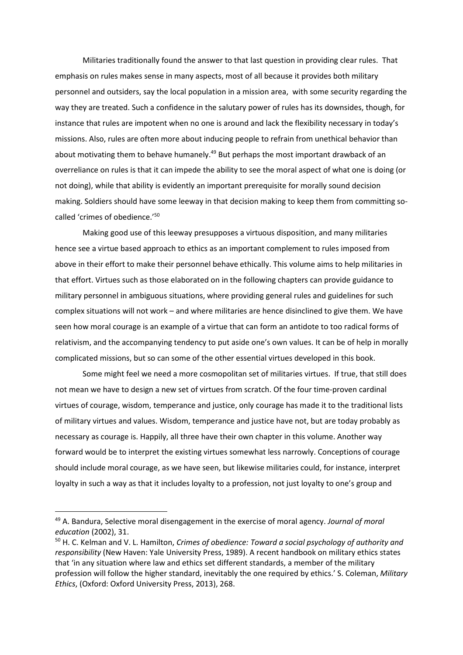Militaries traditionally found the answer to that last question in providing clear rules. That emphasis on rules makes sense in many aspects, most of all because it provides both military personnel and outsiders, say the local population in a mission area, with some security regarding the way they are treated. Such a confidence in the salutary power of rules has its downsides, though, for instance that rules are impotent when no one is around and lack the flexibility necessary in today's missions. Also, rules are often more about inducing people to refrain from unethical behavior than about motivating them to behave humanely.<sup>49</sup> But perhaps the most important drawback of an overreliance on rules is that it can impede the ability to see the moral aspect of what one is doing (or not doing), while that ability is evidently an important prerequisite for morally sound decision making. Soldiers should have some leeway in that decision making to keep them from committing socalled 'crimes of obedience.'<sup>50</sup>

Making good use of this leeway presupposes a virtuous disposition, and many militaries hence see a virtue based approach to ethics as an important complement to rules imposed from above in their effort to make their personnel behave ethically. This volume aims to help militaries in that effort. Virtues such as those elaborated on in the following chapters can provide guidance to military personnel in ambiguous situations, where providing general rules and guidelines for such complex situations will not work – and where militaries are hence disinclined to give them. We have seen how moral courage is an example of a virtue that can form an antidote to too radical forms of relativism, and the accompanying tendency to put aside one's own values. It can be of help in morally complicated missions, but so can some of the other essential virtues developed in this book.

Some might feel we need a more cosmopolitan set of militaries virtues. If true, that still does not mean we have to design a new set of virtues from scratch. Of the four time-proven cardinal virtues of courage, wisdom, temperance and justice, only courage has made it to the traditional lists of military virtues and values. Wisdom, temperance and justice have not, but are today probably as necessary as courage is. Happily, all three have their own chapter in this volume. Another way forward would be to interpret the existing virtues somewhat less narrowly. Conceptions of courage should include moral courage, as we have seen, but likewise militaries could, for instance, interpret loyalty in such a way as that it includes loyalty to a profession, not just loyalty to one's group and

<sup>49</sup> A. Bandura, Selective moral disengagement in the exercise of moral agency. *Journal of moral education* (2002), 31.

<sup>50</sup> H. C. Kelman and V. L. Hamilton, *Crimes of obedience: Toward a social psychology of authority and responsibility* (New Haven: Yale University Press, 1989). A recent handbook on military ethics states that 'in any situation where law and ethics set different standards, a member of the military profession will follow the higher standard, inevitably the one required by ethics.' S. Coleman, *Military Ethics*, (Oxford: Oxford University Press, 2013), 268.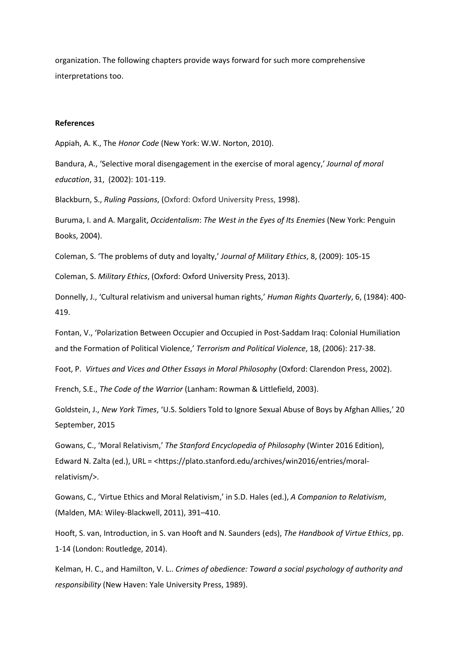organization. The following chapters provide ways forward for such more comprehensive interpretations too.

#### **References**

Appiah, A. K., The *Honor Code* (New York: W.W. Norton, 2010).

Bandura, A., 'Selective moral disengagement in the exercise of moral agency,' *Journal of moral education*, 31, (2002): 101-119.

Blackburn, S., *Ruling Passions*, (Oxford: Oxford University Press, 1998).

Buruma, I. and A. Margalit, *Occidentalism*: *The West in the Eyes of Its Enemies* (New York: Penguin Books, 2004).

Coleman, S. 'The problems of duty and loyalty,' *Journal of Military Ethics*, 8, (2009): 105-15

Coleman, S. *Military Ethics*, (Oxford: Oxford University Press, 2013).

Donnelly, J., 'Cultural relativism and universal human rights,' *Human Rights Quarterly*, 6, (1984): 400- 419.

Fontan, V., 'Polarization Between Occupier and Occupied in Post-Saddam Iraq: Colonial Humiliation and the Formation of Political Violence,' *Terrorism and Political Violence*, 18, (2006): 217-38.

Foot, P. *Virtues and Vices and Other Essays in Moral Philosophy* (Oxford: Clarendon Press, 2002).

French, S.E., *The Code of the Warrior* (Lanham: Rowman & Littlefield, 2003).

Goldstein, J., *New York Times*, 'U.S. Soldiers Told to Ignore Sexual Abuse of Boys by Afghan Allies,' 20 September, 2015

Gowans, C., 'Moral Relativism,' *The Stanford Encyclopedia of Philosophy* (Winter 2016 Edition), Edward N. Zalta (ed.), URL = <https://plato.stanford.edu/archives/win2016/entries/moralrelativism/>.

Gowans, C., 'Virtue Ethics and Moral Relativism,' in S.D. Hales (ed.), *A Companion to Relativism*, (Malden, MA: Wiley-Blackwell, 2011), 391–410.

Hooft, S. van, Introduction, in S. van Hooft and N. Saunders (eds), *The Handbook of Virtue Ethics*, pp. 1-14 (London: Routledge, 2014).

Kelman, H. C., and Hamilton, V. L.. *Crimes of obedience: Toward a social psychology of authority and responsibility* (New Haven: Yale University Press, 1989).